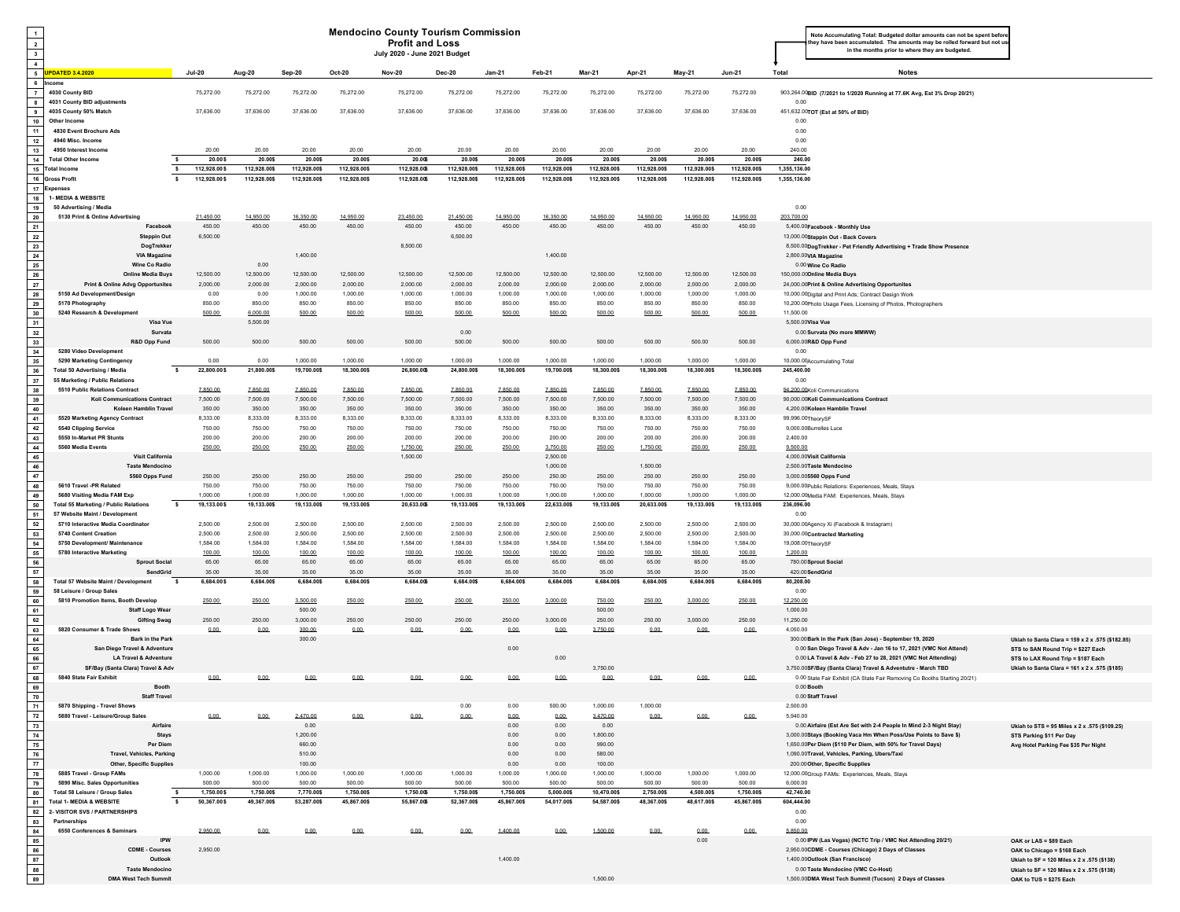| $\overline{1}$<br>$\overline{2}$<br>$\overline{\mathbf{3}}$<br>$\overline{4}$ |                                                                                |                                     |                         |                         |                         | <b>Mendocino County Tourism Commission</b><br><b>Profit and Loss</b><br>July 2020 - June 2021 Budget |                         |                         |                         |                         |                         |                         |                         | Note Accumulating Total: Budgeted dollar amounts can not be spent befo<br>hey have been accumulated. The amounts may be rolled forward but not us<br>in the months prior to where they are budgeted. |                                                                           |
|-------------------------------------------------------------------------------|--------------------------------------------------------------------------------|-------------------------------------|-------------------------|-------------------------|-------------------------|------------------------------------------------------------------------------------------------------|-------------------------|-------------------------|-------------------------|-------------------------|-------------------------|-------------------------|-------------------------|------------------------------------------------------------------------------------------------------------------------------------------------------------------------------------------------------|---------------------------------------------------------------------------|
|                                                                               | 5 UPDATED 3.4.2020                                                             | <b>Jul-20</b>                       | Aug-20                  | Sep-20                  | <b>Oct-20</b>           | <b>Nov-20</b>                                                                                        | <b>Dec-20</b>           | <b>Jan-21</b>           | Feb-21                  | <b>Mar-21</b>           | Apr-21                  | May-21                  | <b>Jun-21</b>           | Total<br><b>Notes</b>                                                                                                                                                                                |                                                                           |
| $6\overline{6}$<br>$\overline{7}$<br>$\overline{\phantom{a}}$                 | 4030 County BID<br>4031 County BID adjustments                                 | 75,272.00                           | 75,272.00               | 75,272.00               | 75,272.00               | 75,272.00                                                                                            | 75,272.00               | 75,272.00               | 75,272.00               | 75,272.00               | 75,272.00               | 75,272.00               | 75,272.00               | 903,264.00BID (7/2021 to 1/2020 Running at 77.6K Avg, Est 3% Drop 20/21)<br>0.00                                                                                                                     |                                                                           |
| 9<br>10                                                                       | 4035 County 50% Match<br>Other Income                                          | 37,636.00                           | 37,636.00               | 37,636.00               | 37,636.00               | 37,636.00                                                                                            | 37,636.00               | 37,636.00               | 37,636.00               | 37,636.00               | 37,636.00               | 37,636.00               | 37,636.00               | 451,632.00TOT (Est at 50% of BID)<br>0.00                                                                                                                                                            |                                                                           |
| 11<br>12                                                                      | 4830 Event Brochure Ads<br>4940 Misc. Income                                   |                                     |                         |                         |                         |                                                                                                      |                         |                         |                         |                         |                         |                         |                         | 0.00<br>0.00                                                                                                                                                                                         |                                                                           |
| 13                                                                            | 4950 Interest Income                                                           | 20.00                               | 20.00                   | 20.00                   | 20.00                   | 20.00                                                                                                | 20.00                   | 20.00                   | 20.00                   | 20.00                   | 20.00                   | 20.00                   | 20.00                   | 240.00                                                                                                                                                                                               |                                                                           |
| 14                                                                            | <b>Total Other Income</b><br>15 Total Income                                   | 20.00\$<br>s.<br>112,928.00\$<br>-S | 20.00\$<br>112,928.00\$ | 20.00\$<br>112,928.00\$ | 20.00\$<br>112,928.00\$ | 20.00\$<br>112,928.00\$                                                                              | 20.00\$<br>112,928.00\$ | 20.00\$<br>112,928.00\$ | 20.00\$<br>112,928.00\$ | 20.00\$<br>112,928.00\$ | 20.00\$<br>112,928.00\$ | 20.00\$<br>112,928.00\$ | 20.00\$<br>112,928.00\$ | 240.00<br>1,355,136.00                                                                                                                                                                               |                                                                           |
|                                                                               | 16 Gross Profit                                                                | 112,928.00\$<br>s.                  | 112,928.00\$            | 112,928.00\$            | 112,928.00\$            | 112,928.00\$                                                                                         | 112,928.00\$            | 112,928.00\$            | 112,928.00\$            | 112,928.00\$            | 112,928.00\$            | 112,928.00\$            | 112,928.00\$            | 1,355,136.00                                                                                                                                                                                         |                                                                           |
|                                                                               | 17 Expenses                                                                    |                                     |                         |                         |                         |                                                                                                      |                         |                         |                         |                         |                         |                         |                         |                                                                                                                                                                                                      |                                                                           |
| 18<br>19                                                                      | 1- MEDIA & WEBSITE<br>50 Advertising / Media                                   |                                     |                         |                         |                         |                                                                                                      |                         |                         |                         |                         |                         |                         |                         | 0.00                                                                                                                                                                                                 |                                                                           |
| 20                                                                            | 5130 Print & Online Advertising                                                | 21 450 00                           | 14 950 00               | 16 350 00               | 14 950 00               | 23 450 00                                                                                            | 21 450 00               | 14 950 00               | 16.350.00               | 14 950 00               | 14 950 00               | 14 950 00               | 14 950 00               | 203 700.00                                                                                                                                                                                           |                                                                           |
| 21<br>22                                                                      | Facebool<br><b>Steppin Out</b>                                                 | 450.00<br>6,500.00                  | 450.00                  | 450.00                  | 450.00                  | 450.00                                                                                               | 450.00<br>6,500.00      | 450.00                  | 450.00                  | 450.00                  | 450.00                  | 450.00                  | 450.00                  | 5,400.00 Facebook - Monthly Use<br>13,000.00Steppin Out - Back Covers                                                                                                                                |                                                                           |
| 23                                                                            | DogTrekker                                                                     |                                     |                         |                         |                         | 8,500.00                                                                                             |                         |                         |                         |                         |                         |                         |                         | 8,500.00DogTrekker - Pet Friendly Advertising + Trade Show Presence                                                                                                                                  |                                                                           |
| 24<br>25                                                                      | <b>VIA Magazine</b><br><b>Wine Co Radio</b>                                    |                                     | 0.00                    | 1,400.00                |                         |                                                                                                      |                         |                         | 1,400.00                |                         |                         |                         |                         | 2,800.00VIA Magazine                                                                                                                                                                                 |                                                                           |
| 26                                                                            | <b>Online Media Buys</b>                                                       | 12,500.00                           | 12,500.00               | 12,500.00               | 12,500.00               | 12,500.00                                                                                            | 12,500.00               | 12,500.00               | 12,500.00               | 12,500.00               | 12,500.00               | 12,500.00               | 12,500.00               | 0.00 Wine Co Radio<br>150,000.00Online Media Buys                                                                                                                                                    |                                                                           |
| 27                                                                            | <b>Print &amp; Online Advg Opportunites</b>                                    | 2,000.00                            | 2.000.00                | 2.000.00                | 2.000.00                | 2,000.00                                                                                             | 2.000.00                | 2,000.00                | 2,000.00                | 2,000.00                | 2.000.00                | 2,000.00                | 2,000.00                | 24,000.00Print & Online Advertising Opportunites                                                                                                                                                     |                                                                           |
| 28<br>29                                                                      | 5150 Ad Development/Design<br>5170 Photography                                 | 0.00<br>850.00                      | 0.00<br>850.00          | 1.000.00<br>850.00      | 1.000.00<br>850.00      | 1.000.00<br>850.00                                                                                   | 1.000.00<br>850.00      | 1.000.00<br>850.00      | 1.000.00<br>850.00      | 1.000.00<br>850.00      | 1.000.00<br>850.00      | 1.000.00<br>850.00      | 1.000.00<br>850.00      | 10,000.00Digital and Print Ads; Contract Design Work<br>10,200.00Photo Usage Fees, Licensing of Photos, Photographers                                                                                |                                                                           |
| 30                                                                            | 5240 Research & Developmer                                                     | 500.00                              | 6,000.00                | 500.00                  | 500.00                  | 500.00                                                                                               | 500.00                  | 500.00                  | 500.00                  | 500.00                  | 500.00                  | 500.00                  | 500.00                  | 11,500.00                                                                                                                                                                                            |                                                                           |
| 31                                                                            | Visa Vue                                                                       |                                     | 5,500.00                |                         |                         |                                                                                                      |                         |                         |                         |                         |                         |                         |                         | 5,500.00Visa Vue                                                                                                                                                                                     |                                                                           |
| 32<br>33                                                                      | Survata<br>R&D Opp Fund                                                        | 500.00                              | 500.00                  | 500.00                  | 500.00                  | 500.00                                                                                               | 0.00<br>500.00          | 500.00                  | 500.00                  | 500.00                  | 500.00                  | 500.00                  | 500.00                  | 0.00 Survata (No more MMWW)<br>6,000.00R&D Opp Fund                                                                                                                                                  |                                                                           |
| 34<br>35                                                                      | 5280 Video Developmer<br>5290 Marketing Contingency                            | 0.00                                | 0.00                    | 1.000.00                | 1.000.00                | 1.000.00                                                                                             | 1.000.00                | 1.000.00                | 1.000.00                | 1.000.00                | 1.000.00                | 1.000.00                | 1.000.00                | 0.00<br>10,000.00Accumulating Total                                                                                                                                                                  |                                                                           |
| 36<br>37                                                                      | <b>Total 50 Advertising / Media</b><br>55 Marketing / Public Relations         | 22,800.00\$<br>$\mathbf{s}$         | 21,800.00\$             | 19,700.00\$             | 18,300.00\$             | 26,800.00\$                                                                                          | 24,800.00\$             | 18,300.00\$             | 19,700.00\$             | 18,300.00\$             | 18,300.00\$             | 18,300.00\$             | 18,300.00\$             | 245,400.00<br>0.00                                                                                                                                                                                   |                                                                           |
| 38                                                                            | 5510 Public Relations Contract                                                 | 7,850.00                            | 7,850.00                | 7,850.00                | 7,850.00                | 7,850.00                                                                                             | 7,850.00                | 7,850.00                | 7 850 00                | 7,850.00                | 7,850.00                | 7,850.00                | 7,850.00                | 94.200.00Koli Communications                                                                                                                                                                         |                                                                           |
| 39                                                                            | <b>Koli Communications Contract</b>                                            | 7,500.00                            | 7.500.00                | 7.500.00                | 7,500.00                | 7,500.00                                                                                             | 7.500.00                | 7,500.00                | 7.500.00                | 7,500.00                | 7,500.00                | 7,500.00                | 7.500.00                | 90,000.00Koli Communications Contract                                                                                                                                                                |                                                                           |
| 40<br>41                                                                      | Koleen Hamblin Travel<br>5520 Marketing Agency Contract                        | 350.00<br>8,333.00                  | 350.00<br>8,333.00      | 350.00<br>8,333.00      | 350.00<br>8,333.00      | 350.00<br>8,333.00                                                                                   | 350.00<br>8,333.00      | 350.00<br>8,333.00      | 350.00<br>8,333.00      | 350.00<br>8,333.00      | 350.00<br>8,333.00      | 350.00<br>8,333.00      | 350.00<br>8,333.00      | 4,200.00Koleen Hamblin Travel<br>99,996.00TheorySF                                                                                                                                                   |                                                                           |
| 42                                                                            | 5540 Clipping Service                                                          | 750.00                              | 750.00                  | 750.00                  | 750.00                  | 750.00                                                                                               | 750.00                  | 750.00                  | 750.00                  | 750.00                  | 750.00                  | 750.00                  | 750.00                  | 9,000.00Burrelles Luce                                                                                                                                                                               |                                                                           |
| 43<br>44                                                                      | 5550 In-Market PR Stunts<br>5560 Media Events                                  | 200.00<br>250.00                    | 200.00<br>250.00        | 200.00<br>250.00        | 200.00<br>250.00        | 200.00<br>1.750.00                                                                                   | 200.00<br>250.00        | 200.00<br>250.00        | 200.00<br>3.750.00      | 200.00<br>250.00        | 200.00<br>1.750.00      | 200.00<br>250.00        | 200.00<br>250.00        | 2,400.00<br>9.500.00                                                                                                                                                                                 |                                                                           |
| 45                                                                            | <b>Visit California</b>                                                        |                                     |                         |                         |                         | 1.500.00                                                                                             |                         |                         | 2,500.00                |                         |                         |                         |                         | 4.000.00Visit California                                                                                                                                                                             |                                                                           |
| 46                                                                            | <b>Taste Mendocino</b>                                                         |                                     |                         |                         |                         |                                                                                                      |                         |                         | 1.000.00                |                         | 1.500.00                |                         |                         | 2,500.00Taste Mendocino                                                                                                                                                                              |                                                                           |
| 47<br>48                                                                      | 5560 Opps Fund<br>5610 Travel -PR Related                                      | 250.00<br>750.00                    | 250.00<br>750.00        | 250.00<br>750.00        | 250.00<br>750.00        | 250.00<br>750.00                                                                                     | 250.00<br>750.00        | 250.00<br>750.00        | 250.00<br>750.00        | 250.00<br>750.00        | 250.00<br>750.00        | 250.00<br>750.00        | 250.00<br>750.00        | 3,000.005560 Opps Fund<br>9,000.00Public Relations: Experiences, Meals, Stays                                                                                                                        |                                                                           |
| 49                                                                            | 5680 Visiting Media FAM Exp                                                    | 1.000.00                            | 1,000.00                | 1,000.00                | 1,000.00                | 1,000.00                                                                                             | 1.000.00                | 1,000.00                | 1,000.00                | 1,000.00                | 1.000.00                | 1,000.00                | 1,000.00                | 12,000.00Media FAM: Experiences, Meals, Stays                                                                                                                                                        |                                                                           |
| 50<br>51                                                                      | <b>Total 55 Marketing / Public Relations</b><br>57 Website Maint / Development | 19,133.00\$<br>-S                   | 19,133.00\$             | 19,133.00\$             | 19,133.00\$             | 20,633.00\$                                                                                          | 19,133.00\$             | 19,133.00\$             | 22,633.00\$             | 19,133.00\$             | 20,633.00\$             | 19,133.00\$             | 19,133.00\$             | 236,096.00<br>0.00                                                                                                                                                                                   |                                                                           |
| 52                                                                            | 5710 Interactive Media Coordinator                                             | 2,500.00                            | 2,500.00                | 2,500.00                | 2,500.00                | 2,500.00                                                                                             | 2,500.00                | 2.500.00                | 2,500.00                | 2,500.00                | 2,500.00                | 2,500.00                | 2,500.00                | 30,000.00Agency Xi (Facebook & Instagram)                                                                                                                                                            |                                                                           |
| 53<br>54                                                                      | 5740 Content Creation<br>5750 Development/ Maintenance                         | 2,500.00<br>1,584.00                | 2,500.00<br>1,584.00    | 2.500.00<br>1,584.00    | 2,500.00<br>1,584.00    | 2,500.00<br>1,584.00                                                                                 | 2,500.00<br>1,584.00    | 2,500.00<br>1,584.00    | 2.500.00<br>1,584.00    | 2,500.00<br>1,584.00    | 2.500.00<br>1,584.00    | 2,500.00<br>1,584.00    | 2,500.00<br>1,584.00    | 30,000.00Contracted Marketing<br>19,008.00TheorySF                                                                                                                                                   |                                                                           |
| 55                                                                            | 5780 Interactive Marketing                                                     | 100.00                              | 100.00                  | 100.00                  | 100.00                  | 100.00                                                                                               | 100.00                  | 100.00                  | 100.00                  | 100.00                  | 100.00                  | 100.00                  | 100.00                  | 1,200.00                                                                                                                                                                                             |                                                                           |
| 56<br>57                                                                      | Sprout Social                                                                  | 65.00                               | 65.00                   | 65.00                   | 65.00                   | 65.00                                                                                                | 65.00                   | 65.00                   | 65.00                   | 65.00                   | 65.00<br>35.00          | 65.00                   | 65.00                   | 780.00 Sprout Social<br>420.00 SendGrid                                                                                                                                                              |                                                                           |
| 58                                                                            | SendGrid<br>Total 57 Website Maint / Development                               | 35.00<br>6,684.00\$<br>$\mathbf{s}$ | 35.00<br>6,684.00\$     | 35.00<br>6,684.00\$     | 35.00<br>6,684.00\$     | 35.00<br>6,684.00\$                                                                                  | 35.00<br>6,684.00\$     | 35.00<br>6,684.00\$     | 35.00<br>6,684.00\$     | 35.00<br>6,684.00\$     | 6,684.00\$              | 35.00<br>6,684.00\$     | 35.00<br>6,684.00\$     | 80,208.00                                                                                                                                                                                            |                                                                           |
| 59                                                                            | 58 Leisure / Group Sales                                                       |                                     |                         |                         |                         |                                                                                                      |                         |                         |                         |                         |                         |                         |                         | 0.00                                                                                                                                                                                                 |                                                                           |
| 60<br>61                                                                      | 5810 Promotion Items, Booth Develop<br><b>Staff Logo Wear</b>                  | 250.00                              | 250.00                  | 3,500.00<br>500.00      | 250.00                  | 250.00                                                                                               | 250.00                  | 250.00                  | 3,000.00                | 750.00<br>500.00        | 250.00                  | 3,000.00                | 250.00                  | 12.250.00<br>1,000.00                                                                                                                                                                                |                                                                           |
| 62                                                                            | <b>Gifting Swag</b>                                                            | 250.00                              | 250.00                  | 3.000.00                | 250.00                  | 250.00                                                                                               | 250.00                  | 250.00                  | 3.000.00                | 250.00                  | 250.00                  | 3,000.00                | 250.00                  | 11,250.00                                                                                                                                                                                            |                                                                           |
| 63<br>64                                                                      | 5820 Consumer & Trade Shows<br><b>Bark in the Park</b>                         | 0.00                                | 0.00.                   | 300.00<br>300.00        | 0.00.                   | 0.00                                                                                                 | 0.00                    | 0.00                    | 0.00                    | 3,750.00                | 0.00                    | 0.00                    | 0.00.                   | 4.050.00<br>300.00 Bark in the Park (San Jose) - September 19, 2020                                                                                                                                  | Ukiah to Santa Clara = 159 x 2 x .575 (\$182.85)                          |
| 65<br>66<br>67                                                                | San Diego Travel & Adventure<br>LA Travel & Adventure                          |                                     |                         |                         |                         |                                                                                                      |                         | 0.00                    | 0.00                    |                         |                         |                         |                         | 0.00 San Diego Travel & Adv - Jan 16 to 17, 2021 (VMC Not Attend)<br>0.00 LA Travel & Adv - Feb 27 to 28, 2021 (VMC Not Attending)                                                                   | STS to SAN Round Trip = \$227 Each<br>STS to LAX Round Trip = \$187 Each  |
| 68                                                                            | SF/Bay (Santa Clara) Travel & Adv<br>5840 State Fair Exhibit                   | 0.00                                |                         | 0.00                    | 0.00                    | 0.00                                                                                                 | 0.00                    | 0.00                    | 0.00                    | 3,750.00<br>0.00        | 0.00                    | 0.00                    | 0.00                    | 3,750.00SF/Bay (Santa Clara) Travel & Adventutre - March TBD<br>0.00 State Fair Exhibit (CA State Fair Removing Co Booths Starting 20/21)                                                            | Ukiah to Santa Clara = 161 x 2 x .575 (\$185)                             |
| 69                                                                            | <b>Booth</b>                                                                   |                                     |                         |                         |                         |                                                                                                      |                         |                         |                         |                         |                         |                         |                         | 0.00 Booth<br>0.00 Staff Travel                                                                                                                                                                      |                                                                           |
| 70<br>71                                                                      | <b>Staff Travel</b><br>5870 Shipping - Travel Shows                            |                                     |                         |                         |                         |                                                                                                      | 0.00                    | 0.00                    | 500.00                  | 1,000.00                | 1,000.00                |                         |                         | 2,500.00                                                                                                                                                                                             |                                                                           |
| 72                                                                            | 5880 Travel - Leisure/Group Sales                                              | $0.00 -$                            | 0.00                    | 2470.00                 | $0.00 -$                | 0.00                                                                                                 | 0.00.                   | $0.00 -$                | 0.00                    | 3 470 00                | 0.00                    | 0.00                    | $0.00 -$                | 5,940.00                                                                                                                                                                                             |                                                                           |
| 73<br>74                                                                      | Airfaire<br><b>Stays</b>                                                       |                                     |                         | 0.00<br>1,200.00        |                         |                                                                                                      |                         | 0.00<br>0.00            | 0.00<br>0.00            | 0.00<br>1,800.00        |                         |                         |                         | 0.00 Airfaire (Est Are Set with 2-4 People In Mind 2-3 Night Stay)<br>3,000.00Stays (Booking Vaca Hm When Poss/Use Points to Save \$)                                                                | Ukiah to STS = 95 Miles x 2 x .575 (\$109.25)<br>STS Parking \$11 Per Day |
| 75                                                                            | Per Diem                                                                       |                                     |                         | 660.00                  |                         |                                                                                                      |                         | 0.00                    | 0.00                    | 990.00                  |                         |                         |                         | 1,650.00Per Diem (\$110 Per Diem, with 50% for Travel Days)                                                                                                                                          | Avg Hotel Parking Fee \$35 Per Night                                      |
| 76<br>- 77                                                                    | <b>Travel, Vehicles, Parking</b><br><b>Other, Specific Supplies</b>            |                                     |                         | 510.00<br>100.00        |                         |                                                                                                      |                         | 0.00<br>0.00            | 0.00<br>0.00            | 580.00<br>100.00        |                         |                         |                         | 1.090.00Travel, Vehicles, Parking, Ubers/Taxi.<br>200.00 Other, Specific Supplies                                                                                                                    |                                                                           |
| 78                                                                            | 5885 Travel - Group FAMs                                                       | 1,000.00                            | 1.000.00                | 1,000.00                | 1.000.00                | 1.000.00                                                                                             | 1.000.00                | 1,000.00                | 1.000.00                | 1.000.00                | 1.000.00                | 1.000.00                | 1.000.00                | 12,000.00Group FAMs: Experiences, Meals, Stavs                                                                                                                                                       |                                                                           |
| 79<br>80                                                                      | 5890 Misc. Sales Opportunities<br>Total 58 Leisure / Group Sales               | 500.00<br>1,750.00\$<br>s.          | 500.00<br>1,750.00\$    | 500.00<br>7,770.00\$    | 500.00<br>1,750.00\$    | 500.00<br>1,750.00\$                                                                                 | 500.00<br>1,750.00\$    | 500.00<br>1,750.00\$    | 500.00<br>5,000.00\$    | 500.00<br>10,470.00\$   | 500.00<br>2,750.00\$    | 500.00<br>4,500.00\$    | 500.00<br>1,750.00\$    | 6,000.00<br>42,740.00                                                                                                                                                                                |                                                                           |
| 81                                                                            | Total 1- MEDIA & WEBSITE                                                       | $\mathbf{s}$<br>50,367.00\$         | 49,367.00\$             | 53,287.00\$             | 45,867.00\$             | 55.867.00\$                                                                                          | 52,367.00\$             | 45,867.00\$             | 54,017.00\$             | 54,587.00\$             | 48.367.00\$             | 48.617.00\$             | 45,867,00\$             | 604,444.00                                                                                                                                                                                           |                                                                           |
| 82                                                                            | 2- VISITOR SVS / PARTNERSHIPS                                                  |                                     |                         |                         |                         |                                                                                                      |                         |                         |                         |                         |                         |                         |                         | 0.00                                                                                                                                                                                                 |                                                                           |
| 83<br>84                                                                      | Partnerships<br>6550 Conferences & Seminars                                    | 2,950.00                            | 0.00.                   | 0.00                    | 0.00.                   | 0.00                                                                                                 | 0.00                    | 1,400.00                | 0.00.                   | 1,500.00                | 0.00                    | $0.00 -$                | 0.00.                   | 0.00<br>5.850.00                                                                                                                                                                                     |                                                                           |
| 85                                                                            | <b>IPW</b>                                                                     |                                     |                         |                         |                         |                                                                                                      |                         |                         |                         |                         |                         | 0.00                    |                         | 0.00 IPW (Las Vegas) (NCTC Trip / VMC Not Attending 20/21)                                                                                                                                           | OAK or LAS = \$89 Each                                                    |
| 86<br>87                                                                      | <b>CDME - Courses</b><br>Outlook                                               | 2,950.00                            |                         |                         |                         |                                                                                                      |                         | 1,400.00                |                         |                         |                         |                         |                         | 2,950.00CDME - Courses (Chicago) 2 Days of Classes<br>1,400.00Outlook (San Francisco)                                                                                                                | OAK to Chicago = \$168 Each<br>Ukiah to SF = 120 Miles x 2 x .575 (\$138) |
| 88<br>89                                                                      | <b>Taste Mendocino</b><br><b>DMA West Tech Summit</b>                          |                                     |                         |                         |                         |                                                                                                      |                         |                         |                         | 1,500.00                |                         |                         |                         | 0.00 Taste Mendocino (VMC Co-Host)<br>1,500.00DMA West Tech Summit (Tucson) 2 Days of Classes                                                                                                        | Ukiah to SF = 120 Miles x 2 x .575 (\$138)<br>OAK to TUS = \$275 Each     |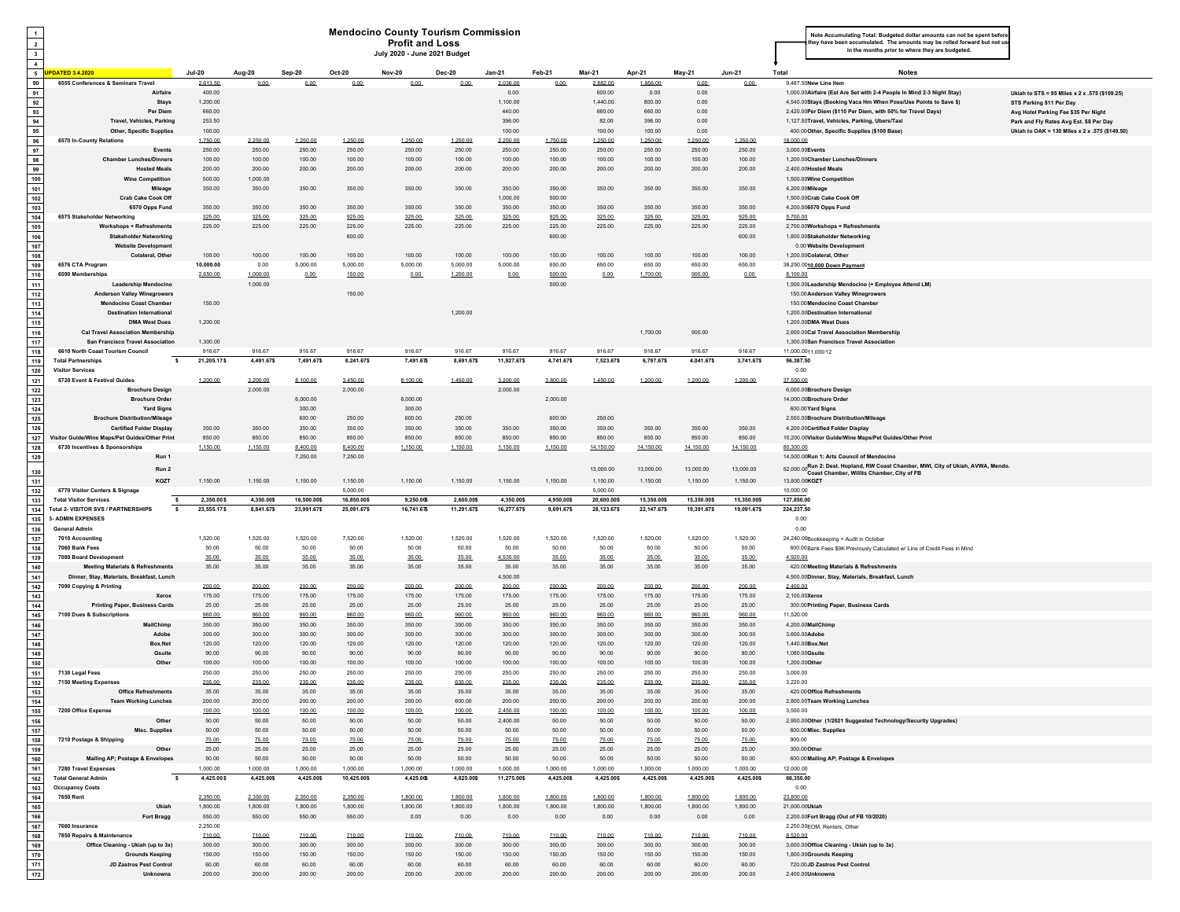| $\mathbf{1}$                            |                                                                                                         |                           |                          |                            |                            | <b>Mendocino County Tourism Commission</b>             |                           |                           |                          |                            |                            |                            |                            | Note Accumulating Total: Budgeted dollar amounts can not be spent before                                                                                                                   |
|-----------------------------------------|---------------------------------------------------------------------------------------------------------|---------------------------|--------------------------|----------------------------|----------------------------|--------------------------------------------------------|---------------------------|---------------------------|--------------------------|----------------------------|----------------------------|----------------------------|----------------------------|--------------------------------------------------------------------------------------------------------------------------------------------------------------------------------------------|
| $\mathbf{2}$<br>$\overline{\mathbf{3}}$ |                                                                                                         |                           |                          |                            |                            | <b>Profit and Loss</b><br>July 2020 - June 2021 Budget |                           |                           |                          |                            |                            |                            |                            | hey have been accumulated. The amounts may be rolled forward but not us<br>in the months prior to where they are budgeted.                                                                 |
| $\overline{4}$                          |                                                                                                         |                           |                          |                            |                            |                                                        |                           |                           |                          |                            |                            |                            |                            |                                                                                                                                                                                            |
| $5^{\circ}$                             | <b>PDATED 3.4.2020</b>                                                                                  | <b>Jul-20</b>             | Aug-20                   | Sep-20                     | Oct-20                     | <b>Nov-20</b>                                          | <b>Dec-20</b>             | <b>Jan-21</b>             | Feb-21                   | <b>Mar-21</b>              | Apr-21                     | May-21                     | <b>Jun-21</b>              | Total<br><b>Notes</b>                                                                                                                                                                      |
| 90<br>91                                | 6555 Conferences & Seminars Travel<br>Airfaire                                                          | 2.613.50<br>400.00        | 0.00                     | 0.00                       | 0.00.                      | 0.00.                                                  | 0.00.                     | 2,036.00<br>0.00          | 0.00                     | 2,882.00<br>600.00         | 1.956.00<br>0.00           | 0.00<br>0.00               | 0.00.                      | 9.487.50New Line Item<br>1,000.00Airfaire (Est Are Set with 2-4 People In Mind 2-3 Night Stay)<br>Ukiah to STS = 95 Miles x 2 x .575 (\$109.25)                                            |
| 92                                      | <b>Stays</b>                                                                                            | 1,200.00                  |                          |                            |                            |                                                        |                           | 1,100.00                  |                          | 1,440.00                   | 800.00                     | 0.00                       |                            | 4,540.00Stays (Booking Vaca Hm When Poss/Use Points to Save \$)<br>STS Parking \$11 Per Day                                                                                                |
| 93                                      | Per Diem                                                                                                | 660.00                    |                          |                            |                            |                                                        |                           | 440.00                    |                          | 660.00                     | 660.00                     | 0.00                       |                            | 2,420.00Per Diem (\$110 Per Diem, with 50% for Travel Days)<br>Avg Hotel Parking Fee \$35 Per Night                                                                                        |
| 94<br>95                                | <b>Travel, Vehicles, Parking</b><br><b>Other, Specific Supplies</b>                                     | 253.50<br>100.00          |                          |                            |                            |                                                        |                           | 396.00<br>100.00          |                          | 82.00<br>100.00            | 396.00<br>100.00           | 0.00<br>0.00               |                            | 1,127.50Travel, Vehicles, Parking, Ubers/Taxi<br>Park and Fly Rates Avg Est. \$8 Per Day<br>400.00 Other, Specific Supplies (\$100 Base)<br>Ukiah to OAK = 130 Miles x 2 x .575 (\$149.50) |
| 96                                      | 6570 In-County Relations                                                                                | 1,750.00                  | 2,250.00                 | 1,250.00                   | 1,250.00                   | 1.250.00                                               | 1,250.00                  | 2,250.00                  | 1,750.00                 | 1,250.00                   | 1,250.00                   | 1,250.00                   | 1,250,00                   | 18,000.00                                                                                                                                                                                  |
| 97                                      | Events                                                                                                  | 250.00                    | 250.00                   | 250.00                     | 250.00                     | 250.00                                                 | 250.00                    | 250.00                    | 250.00                   | 250.00                     | 250.00                     | 250.00                     | 250.00                     | 3.000.00Events                                                                                                                                                                             |
| 98<br>99                                | <b>Chamber Lunches/Dinners</b><br><b>Hosted Meals</b>                                                   | 100.00<br>200.00          | 100.00<br>200.00         | 100.00<br>200.00           | 100.00<br>200.00           | 100.00<br>200.00                                       | 100.00<br>200.00          | 100.00<br>200.00          | 100.00<br>200.00         | 100.00<br>200.00           | 100.00<br>200.00           | 100.00<br>200.00           | 100.00<br>200.00           | 1.200.00Chamber Lunches/Dinners<br>2,400.00Hosted Meals                                                                                                                                    |
| 100                                     | <b>Wine Competition</b>                                                                                 | 500.00                    | 1.000.00                 |                            |                            |                                                        |                           |                           |                          |                            |                            |                            |                            | 1,500.00Wine Competition                                                                                                                                                                   |
| $101$                                   | Mileage                                                                                                 | 350.00                    | 350.00                   | 350.00                     | 350.00                     | 350.00                                                 | 350.00                    | 350.00                    | 350.00                   | 350.00                     | 350.00                     | 350.00                     | 350.00                     | 4.200.00Mileage                                                                                                                                                                            |
| 102<br>103                              | <b>Crab Cake Cook Off</b><br>6570 Opps Fund                                                             | 350.00                    | 350.00                   | 350.00                     | 350.00                     | 350.00                                                 | 350.00                    | 1.000.00<br>350.00        | 500.00<br>350.00         | 350.00                     | 350.00                     | 350.00                     | 350.00                     | 1,500.00Crab Cake Cook Off<br>4,200.006570 Opps Fund                                                                                                                                       |
| 104                                     | 6575 Stakeholder Networking                                                                             | 325.00                    | 325.00                   | 325.00                     | 925.00                     | 325.00                                                 | 325.00                    | 325.00                    | 925.00                   | 325.00                     | 325.00                     | 325.00                     | 925.00                     | 5.700.00                                                                                                                                                                                   |
| 105<br>106                              | <b>Workshops + Refreshments</b><br><b>Stakeholder Networking</b>                                        | 225.00                    | 225.00                   | 225.00                     | 225.00                     | 225.00                                                 | 225.00                    | 225.00                    | 225.00                   | 225.00                     | 225.00                     | 225.00                     | 225.00                     | 2.700.00Workshops + Refreshments                                                                                                                                                           |
| 107                                     | <b>Website Development</b>                                                                              |                           |                          |                            | 600.00                     |                                                        |                           |                           | 600.00                   |                            |                            |                            | 600.00                     | 1,800.00Stakeholder Networking<br>0.00 Website Development                                                                                                                                 |
| 108                                     | Colateral, Other                                                                                        | 100.00                    | 100.00                   | 100.00                     | 100.00                     | 100.00                                                 | 100.00                    | 100.00                    | 100.00                   | 100.00                     | 100.00                     | 100.00                     | 100.00                     | 1.200.00Colateral, Other                                                                                                                                                                   |
| 109<br>110                              | 6576 CTA Program<br>6590 Memberships                                                                    | 10,000.00<br>2.650.00     | 0.00<br>1.000.00         | 5.000.00<br>0.00           | 5.000.00<br>150.00         | 5,000.00<br>0.00                                       | 5,000.00<br>1.200.00      | 5.000.00<br>0.00          | 650.00<br>500.00         | 650.00<br>0.00             | 650.00<br>1.700.00         | 650.00<br>900.00           | 650.00<br>0.00.            | 38,250.0010.000 Down Payment<br>8.100.00                                                                                                                                                   |
| 111                                     | <b>Leadership Mendocino</b>                                                                             |                           | 1,000.00                 |                            |                            |                                                        |                           |                           | 500.00                   |                            |                            |                            |                            | 1,500.00Leadership Mendocino (+ Employee Attend LM)                                                                                                                                        |
| $112$                                   | <b>Anderson Valley Winegrowers</b>                                                                      |                           |                          |                            | 150.00                     |                                                        |                           |                           |                          |                            |                            |                            |                            | 150.00 Anderson Valley Winegrowers                                                                                                                                                         |
| 113<br>114                              | <b>Mendocino Coast Chamber</b><br><b>Destination International</b>                                      | 150.00                    |                          |                            |                            |                                                        | 1,200.00                  |                           |                          |                            |                            |                            |                            | 150.00 Mendocino Coast Chamber<br>1.200.00Destination International                                                                                                                        |
| 115                                     | <b>DMA West Dues</b>                                                                                    | 1.200.00                  |                          |                            |                            |                                                        |                           |                           |                          |                            |                            |                            |                            | 1.200.00DMA West Dues                                                                                                                                                                      |
| 116                                     | <b>Cal Travel Association Membership</b>                                                                |                           |                          |                            |                            |                                                        |                           |                           |                          |                            | 1,700.00                   | 900.00                     |                            | 2,600.00Cal Travel Association Membership                                                                                                                                                  |
| 117<br>118                              | <b>San Francisco Travel Association</b><br>6610 North Coast Tourism Council                             | 1.300.00<br>916.67        | 916.67                   | 916.67                     | 916.67                     | 916.67                                                 | 916.67                    | 916.67                    | 916.67                   | 916.67                     | 916.67                     | 916.67                     | 916.67                     | 1,300.00San Francisco Travel Association<br>11,000.0011,000/12                                                                                                                             |
| 119                                     | <b>Total Partnerships</b><br>$\mathbf{s}$                                                               | 21,205.17\$               | 4,491.67\$               | 7,491.67\$                 | 8,241.67\$                 | 7,491.67\$                                             | 8,691.67\$                | 11,927.67\$               | 4,741.67\$               | 7,523.67\$                 | 6,797.67\$                 | 4,041.67\$                 | 3,741.67\$                 | 96,387.50                                                                                                                                                                                  |
| 120                                     | <b>Visitor Services</b><br>6720 Event & Festival Guides                                                 |                           |                          |                            |                            |                                                        |                           |                           |                          |                            |                            |                            |                            | 0.00<br>37.550.00                                                                                                                                                                          |
| $121$<br>122                            | <b>Brochure Design</b>                                                                                  | 1,200.00                  | 3,200.00<br>2,000.00     | 8.100.00                   | 3,450.00<br>2,000.00       | 8,100.00                                               | 1,450.00                  | 3,200.00<br>2.000.00      | 3,800.00                 | 1,450.00                   | 1,200.00                   | 1,200.00                   | 1,200.00                   | 6,000.00Brochure Design                                                                                                                                                                    |
| 123                                     | <b>Brochure Order</b>                                                                                   |                           |                          | 6,000.00                   |                            | 6,000.00                                               |                           |                           | 2,000.00                 |                            |                            |                            |                            | 14,000.00Brochure Order                                                                                                                                                                    |
| 124                                     | <b>Yard Signs</b><br><b>Brochure Distribution/Mileage</b>                                               |                           |                          | 300.00<br>600.00           | 250.00                     | 300.00<br>600.00                                       | 250.00                    |                           | 600.00                   | 250.00                     |                            |                            |                            | 600.00 Yard Signs<br>2.550.00Brochure Distribution/Mileage                                                                                                                                 |
| 125<br>126                              | <b>Certified Folder Display</b>                                                                         | 350.00                    | 350.00                   | 350.00                     | 350.00                     | 350.00                                                 | 350.00                    | 350.00                    | 350.00                   | 350.00                     | 350.00                     | 350.00                     | 350.00                     | 4,200.00Certified Folder Display                                                                                                                                                           |
| 127                                     | Visitor Guide/Wine Maps/Pet Guides/Other Print                                                          | 850.00                    | 850.00                   | 850.00                     | 850.00                     | 850.00                                                 | 850.00                    | 850.00                    | 850.00                   | 850.00                     | 850.00                     | 850.00                     | 850.00                     | 10,200.00 Visitor Guide/Wine Maps/Pet Guides/Other Print                                                                                                                                   |
| 128<br>129                              | 6730 Incentives & Sponsorships<br>Run 1                                                                 | 1.150.00                  | 1.150.00                 | 8 400 00<br>7.250.00       | 8.400.00<br>7,250.00       | 1.150.00                                               | 1.150.00                  | 1.150.00                  | 1.150.00                 | 14 150 00                  | 14 150 00                  | 14 150 00                  | 14 150 00                  | 80.300.00<br>14.500.00Run 1: Arts Council of Mendocino                                                                                                                                     |
|                                         | Run 2                                                                                                   |                           |                          |                            |                            |                                                        |                           |                           |                          | 13,000.00                  | 13,000.00                  | 13,000.00                  | 13,000.00                  | 52,000.00 Run 2: Dest. Hopland, RW Coast Chamber, MWI, City of Ukiah, AVWA, Mendo.                                                                                                         |
| 130<br>131                              | KOZT                                                                                                    | 1.150.00                  | 1.150.00                 | 1.150.00                   | 1.150.00                   | 1.150.00                                               | 1.150.00                  | 1.150.00                  | 1.150.00                 | 1.150.00                   | 1.150.00                   | 1.150.00                   | 1.150.00                   | Coast Chamber, Willits Chamber, City of FB<br>13,800.00KOZT                                                                                                                                |
| 132                                     | 6770 Visitor Centers & Signage                                                                          |                           |                          |                            | 5,000,00                   |                                                        |                           |                           |                          | 5.000.00                   |                            |                            |                            | 10,000.00                                                                                                                                                                                  |
| 133<br>134                              | <b>Total Visitor Services</b><br>-\$<br>$\overline{\phantom{a}}$<br>Total 2- VISITOR SVS / PARTNERSHIPS | 2,350.00\$<br>23,555.17\$ | 4,350.00\$<br>8,841.67\$ | 16,500.00\$<br>23,991.67\$ | 16,850.00\$<br>25,091.67\$ | 9,250.00\$<br>16.741.67\$                              | 2,600.00\$<br>11,291.67\$ | 4,350.00\$<br>16,277.67\$ | 4,950.00\$<br>9,691.67\$ | 20,600.00\$<br>28,123.67\$ | 15,350.00\$<br>22,147.67\$ | 15,350.00\$<br>19,391.67\$ | 15,350.00\$<br>19,091.67\$ | 127,850.00<br>224,237.50                                                                                                                                                                   |
| 135                                     | <b>3- ADMIN EXPENSES</b>                                                                                |                           |                          |                            |                            |                                                        |                           |                           |                          |                            |                            |                            |                            | 0.00                                                                                                                                                                                       |
| 136                                     | <b>General Admin</b>                                                                                    |                           |                          |                            |                            |                                                        |                           |                           |                          |                            |                            |                            |                            | 0.00                                                                                                                                                                                       |
| 137<br>138                              | 7010 Accounting<br>7060 Bank Fees                                                                       | 1,520.00<br>50.00         | 1.520.00<br>50.00        | 1,520.00<br>50.00          | 7,520.00<br>50.00          | 1.520.00<br>50.00                                      | 1.520.00<br>50.00         | 1,520.00<br>50.00         | 1.520.00<br>50.00        | 1,520.00<br>50.00          | 1,520.00<br>50.00          | 1,520.00<br>50.00          | 1,520.00<br>50.00          | 24,240.00Bookkeeping + Audit in October<br>600.00 Bank Fees \$9K Previously Calculated w/ Line of Credit Fees in Mind                                                                      |
| 139                                     | 7080 Board Development                                                                                  | 35.00                     | 35.00                    | 35.00                      | 35.00                      | 35.00                                                  | 35.00                     | 4.535.00                  | 35.00                    | 35.00                      | 35.00                      | 35.00                      | 35.00                      | 4.920.00                                                                                                                                                                                   |
| 140                                     | <b>Meeting Materials &amp; Refreshments</b>                                                             | 35.00                     | 35.00                    | 35.00                      | 35.00                      | 35.00                                                  | 35.00                     | 35.00                     | 35.00                    | 35.00                      | 35.00                      | 35.00                      | 35.00                      | 420.00 Meeting Materials & Refreshments                                                                                                                                                    |
| 141<br>142                              | Dinner, Stay, Materials, Breakfast, Lunch<br>7090 Copying & Printing                                    | 200.00                    | 200.00                   | 200.00                     | 200.00                     | 200.00                                                 | 200.00                    | 4.500.00<br>200.00        | 200.00                   |                            |                            |                            |                            |                                                                                                                                                                                            |
| 143                                     | Xerox                                                                                                   | 175.00                    | 175.00                   | 175.00                     | 175.00                     |                                                        |                           |                           |                          | 200.00                     | 200.00                     | 200.00                     | 200.00                     | 4,500.00Dinner, Stay, Materials, Breakfast, Lunch<br>2,400.00                                                                                                                              |
| 144<br>145                              | <b>Printing Paper, Business Cards</b><br>7100 Dues & Subscriptions                                      | 25.00                     |                          |                            |                            | 175.00                                                 | 175.00                    | 175.00                    | 175.00                   | 175.00                     | 175.00                     | 175.00                     | 175.00                     | 2,100.00Xerox                                                                                                                                                                              |
| 146                                     | MailChimp                                                                                               |                           | 25.00                    | 25.00                      | 25.00                      | 25.00                                                  | 25.00                     | 25.00                     | 25.00                    | 25.00                      | 25.00                      | 25.00                      | 25.00                      | 300.00 Printing Paper, Business Cards                                                                                                                                                      |
| 147<br>148                              |                                                                                                         | 960.00<br>350.00          | 960.00<br>350.00         | 960.00<br>350.00           | 960.00<br>350.00           | 960.00<br>350.00                                       | 960.00<br>350.00          | 960.00<br>350.00          | 960.00<br>350.00         | 960.00<br>350.00           | 960.00<br>350.00           | 960.00<br>350.00           | 960.00<br>350.00           | 11,520.00<br>4.200.00MailChimr                                                                                                                                                             |
|                                         | Adobe                                                                                                   | 300.00                    | 300.00                   | 300.00                     | 300.00                     | 300.00                                                 | 300.00                    | 300.00                    | 300.00                   | 300.00                     | 300.00                     | 300.00                     | 300.00                     | 3.600.00Adob                                                                                                                                                                               |
|                                         | Box.Net<br>Gsuite                                                                                       | 120.00<br>90.00           | 120.00<br>90.00          | 120.00<br>90.00            | 120.00<br>90.00            | 120.00<br>90.00                                        | 120.00<br>90.00           | 120.00<br>90.00           | 120.00<br>90.00          | 120.00<br>90.00            | 120.00<br>90.00            | 120.00<br>90.00            | 120.00<br>90.00            | 1,440.00Box.Net<br>1.080.00Gsuite                                                                                                                                                          |
| 149<br>150                              | Othe                                                                                                    | 100.00                    | 100.00                   | 100.00                     | 100.00                     | 100.00                                                 | 100.00                    | 100.00                    | 100.00                   | 100.00                     | 100.00                     | 100.00                     | 100.00                     | 1,200.00Other                                                                                                                                                                              |
| 151                                     | 7130 Legal Fees                                                                                         | 250.00                    | 250.00                   | 250.00                     | 250.00                     | 250.00                                                 | 250.00                    | 250.00                    | 250.00                   | 250.00                     | 250.00                     | 250.00                     | 250.00                     | 3,000.00                                                                                                                                                                                   |
| 152<br>153                              | 7150 Meeting Expenses<br><b>Office Refreshments</b>                                                     | 235.00<br>35.00           | 235.00<br>35.00          | 235.00<br>35.00            | 235.00<br>35.00            | 235.00<br>35.00                                        | 635.00<br>35.00           | 235.00<br>35.00           | 235.00<br>35.00          | 235.00<br>35.00            | 235.00<br>35.00            | 235.00<br>35.00            | 235.00<br>35.00            | 3.220.00<br>420.00 Office Refreshments                                                                                                                                                     |
| 154                                     | <b>Team Working Lunches</b>                                                                             | 200.00                    | 200.00                   | 200.00                     | 200.00                     | 200.00                                                 | 600.00                    | 200.00                    | 200.00                   | 200.00                     | 200.00                     | 200.00                     | 200.00                     | 2.800.00Team Working Lunches                                                                                                                                                               |
| 155                                     | 7200 Office Expense                                                                                     | 100.00                    | 100.00                   | 100.00                     | 100.00                     | 100.00                                                 | 100.00                    | 2.450.00                  | 100.00                   | 100.00                     | 100.00                     | 100.00                     | 100.00                     | 3.550.00                                                                                                                                                                                   |
| 156<br>157                              | Other<br>Misc. Supplies                                                                                 | 50.00<br>50.00            | 50.00<br>50.00           | 50.00<br>50.00             | 50.00<br>50.00             | 50.00<br>50.00                                         | 50.00<br>50.00            | 2.400.00<br>50.00         | 50.00<br>50.00           | 50.00<br>50.00             | 50.00<br>50.00             | 50.00<br>50.00             | 50.00<br>50.00             | 2,950.00Other (1/2021 Suggested Technology/Security Upgrades)<br>600.00 Misc. Supplies                                                                                                     |
| 158                                     | 7210 Postage & Shipping                                                                                 | 75.00                     | 75.00                    | 75.00                      | 75.00                      | 75.00                                                  | 75.00                     | 75.00                     | 75.00                    | 75.00                      | 75.00                      | 75.00                      | 75.00                      | 900.00                                                                                                                                                                                     |
| 159                                     | Other                                                                                                   | 25.00                     | 25.00                    | 25.00                      | 25.00                      | 25.00                                                  | 25.00                     | 25.00                     | 25.00                    | 25.00                      | 25.00                      | 25.00                      | 25.00                      | 300.00 Other                                                                                                                                                                               |
| 160<br>161                              | Mailing AP; Postage & Envelopes<br>7280 Travel Expenses                                                 | 50.00<br>1.000.00         | 50.00<br>1.000.00        | 50.00<br>1.000.00          | 50.00<br>1.000.00          | 50.00<br>1.000.00                                      | 50.00<br>1.000.00         | 50.00<br>1,000.00         | 50.00<br>1.000.00        | 50.00<br>1.000.00          | 50.00<br>1.000.00          | 50.00<br>1.000.00          | 50.00<br>1.000.00          | 600.00 Mailing AP; Postage & Envelopes<br>12.000.00                                                                                                                                        |
| 162                                     | <b>Total General Admin</b><br>$\mathbf{s}$                                                              | 4,425.00\$                | 4,425.00\$               | 4,425.00\$                 | 10,425.00\$                | 4,425.00\$                                             | 4,825.00\$                | 11,275.00\$               | 4,425.00\$               | 4,425.00\$                 | 4,425.00\$                 | 4,425.00\$                 | 4,425.00\$                 | 66,350.00                                                                                                                                                                                  |
| 163<br>164                              | <b>Occupancy Costs</b><br><b>7650 Rent</b>                                                              | 2.350.00                  | 2.350.00                 | 2.350.00                   | 2.350.00                   | 1 800 00                                               | 1,800.00                  | 1,800.00                  | 1.800.00                 | 1,800.00                   | 1,800.00                   | 1,800.00                   | 1,800.00                   | 0.00<br>23,800.00                                                                                                                                                                          |
| 165                                     | Ukiah                                                                                                   | 1,800.00                  | 1,800.00                 | 1,800.00                   | 1,800.00                   | 1,800.00                                               | 1,800.00                  | 1,800.00                  | 1,800.00                 | 1,800.00                   | 1,800.00                   | 1,800.00                   | 1,800.00                   | 21.600.00Ukiah                                                                                                                                                                             |
| 166                                     | <b>Fort Bragg</b>                                                                                       | 550.00                    | 550.00                   | 550.00                     | 550.00                     | 0.00                                                   | 0.00                      | 0.00                      | 0.00                     | 0.00                       | 0.00                       | 0.00                       | 0.00                       | 2,200.00Fort Bragg (Out of FB 10/2020)                                                                                                                                                     |
| 167<br>168                              | 7660 Insurance<br>7850 Repairs & Maintenance                                                            | 2,250.00<br>710.00        | 710.00                   | 710.00                     | 710.00                     | 710.00                                                 | 710.00                    | 710.00                    | 710.00                   | 710.00                     | 710.00                     | 710.00                     | 710.00                     | 2,250.00EOM, Renters, Other<br>8,520.00                                                                                                                                                    |
| 169                                     | Office Cleaning - Ukiah (up to 3x)                                                                      | 300.00                    | 300.00                   | 300.00                     | 300.00                     | 300.00                                                 | 300.00                    | 300.00                    | 300.00                   | 300.00                     | 300.00                     | 300.00                     | 300.00                     | 3,600.00Office Cleaning - Ukiah (up to 3x)                                                                                                                                                 |
| 170<br>171                              | <b>Grounds Keeping</b><br><b>JD Zastros Pest Control</b>                                                | 150.00<br>60.00           | 150.00<br>60.00          | 150.00<br>60.00            | 150.00<br>60.00            | 150.00<br>60.00                                        | 150.00<br>60.00           | 150.00<br>60.00           | 150.00<br>60.00          | 150.00<br>60.00            | 150.00<br>60.00            | 150.00<br>60.00            | 150.00<br>60.00            | 1,800.00Grounds Keeping<br>720.00 JD Zastros Pest Control                                                                                                                                  |